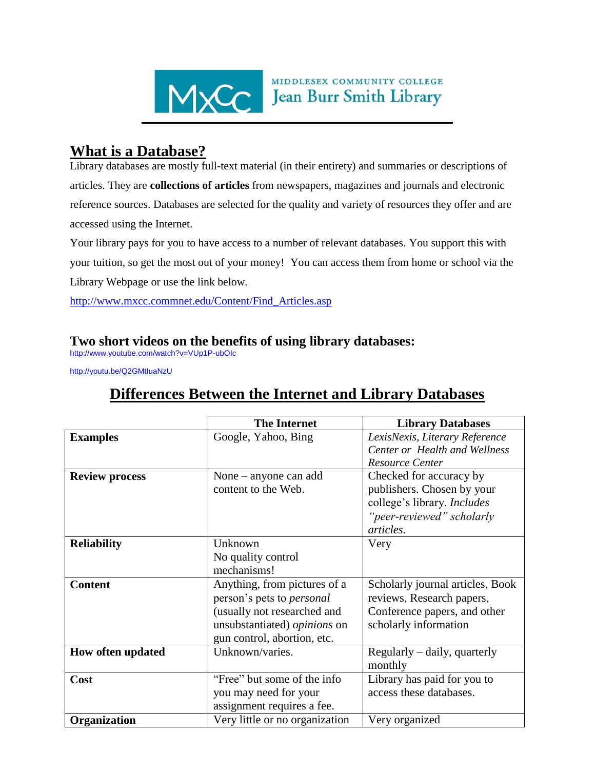

## **What is a Database?**

Library databases are mostly full-text material (in their entirety) and summaries or descriptions of articles. They are **collections of articles** from newspapers, magazines and journals and electronic reference sources. Databases are selected for the quality and variety of resources they offer and are accessed using the Internet.

MIDDLESEX COMMUNITY COLLEGE

Your library pays for you to have access to a number of relevant databases. You support this with your tuition, so get the most out of your money! You can access them from home or school via the Library Webpage or use the link below.

[http://www.mxcc.commnet.edu/Content/Find\\_Articles.asp](http://www.mxcc.commnet.edu/Content/Find_Articles.asp)

## **Two short videos on the benefits of using library databases:**

<http://www.youtube.com/watch?v=VUp1P-ubOIc>

<http://youtu.be/Q2GMtIuaNzU>

## **Differences Between the Internet and Library Databases**

|                       | <b>The Internet</b>              | <b>Library Databases</b>         |
|-----------------------|----------------------------------|----------------------------------|
| <b>Examples</b>       | Google, Yahoo, Bing              | LexisNexis, Literary Reference   |
|                       |                                  | Center or Health and Wellness    |
|                       |                                  | <b>Resource Center</b>           |
| <b>Review process</b> | None $-$ anyone can add          | Checked for accuracy by          |
|                       | content to the Web.              | publishers. Chosen by your       |
|                       |                                  | college's library. Includes      |
|                       |                                  | "peer-reviewed" scholarly        |
|                       |                                  | articles.                        |
| <b>Reliability</b>    | Unknown                          | Very                             |
|                       | No quality control               |                                  |
|                       | mechanisms!                      |                                  |
| <b>Content</b>        | Anything, from pictures of a     | Scholarly journal articles, Book |
|                       | person's pets to <i>personal</i> | reviews, Research papers,        |
|                       | (usually not researched and      | Conference papers, and other     |
|                       | unsubstantiated) opinions on     | scholarly information            |
|                       | gun control, abortion, etc.      |                                  |
| How often updated     | Unknown/varies.                  | Regularly – daily, quarterly     |
|                       |                                  | monthly                          |
| Cost                  | "Free" but some of the info      | Library has paid for you to      |
|                       | you may need for your            | access these databases.          |
|                       | assignment requires a fee.       |                                  |
| Organization          | Very little or no organization   | Very organized                   |